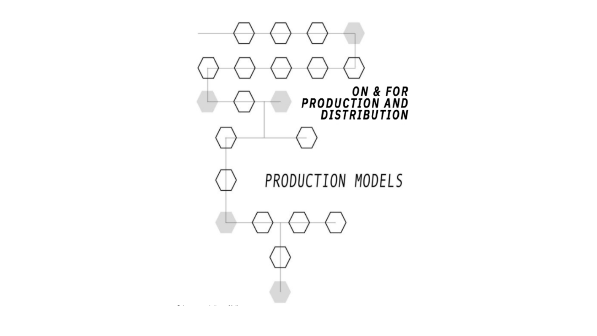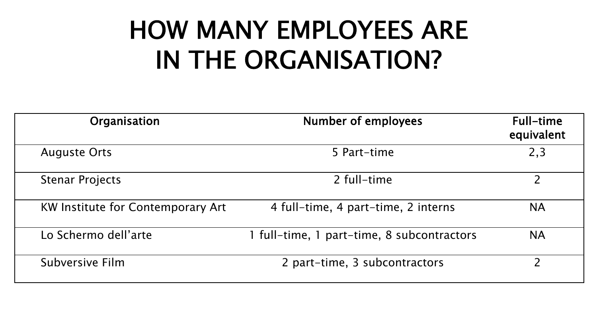# HOW MANY EMPLOYEES ARE IN THE ORGANISATION?

| Organisation                             | <b>Number of employees</b>                 | Full-time<br>equivalent |  |
|------------------------------------------|--------------------------------------------|-------------------------|--|
| <b>Auguste Orts</b>                      | 5 Part-time                                | 2,3                     |  |
| <b>Stenar Projects</b>                   | 2 full-time                                |                         |  |
| <b>KW Institute for Contemporary Art</b> | 4 full-time, 4 part-time, 2 interns        | <b>NA</b>               |  |
| Lo Schermo dell'arte                     | 1 full-time, 1 part-time, 8 subcontractors | <b>NA</b>               |  |
| Subversive Film                          | 2 part-time, 3 subcontractors              | า                       |  |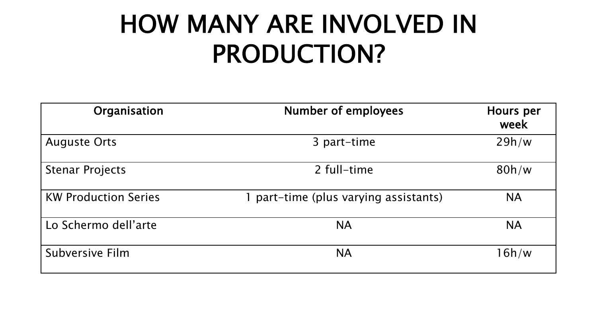### HOW MANY ARE INVOLVED IN PRODUCTION?

| Organisation                      | <b>Number of employees</b>          |           |  |  |
|-----------------------------------|-------------------------------------|-----------|--|--|
| <b>Auguste Orts</b>               | 3 part-time                         |           |  |  |
| <b>Stenar Projects</b>            | 2 full-time                         | 80h/w     |  |  |
| <b>KW Production Series</b>       | part-time (plus varying assistants) | <b>NA</b> |  |  |
| Lo Schermo dell'arte<br><b>NA</b> |                                     | <b>NA</b> |  |  |
| Subversive Film                   | <b>NA</b>                           | 16h/w     |  |  |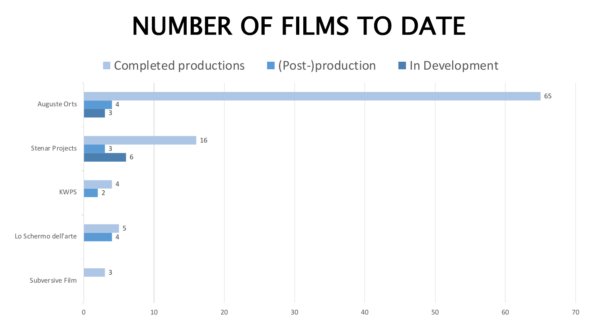### NUMBER OF FILMS TO DATE

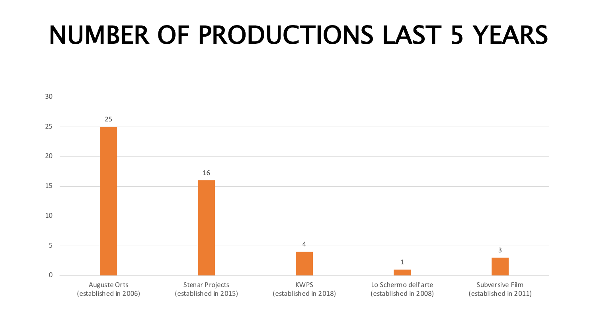### NUMBER OF PRODUCTIONS LAST 5 YEARS

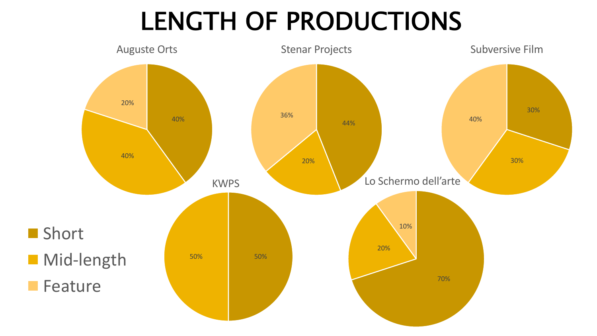# LENGTH OF PRODUCTIONS

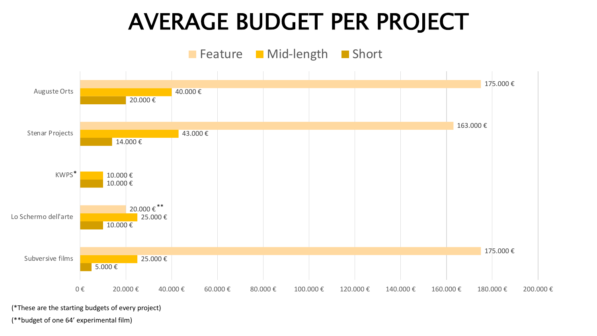#### AVERAGE BUDGET PER PROJECT



(\*These are the starting budgets of every project)

(\*\*budget of one 64' experimental film)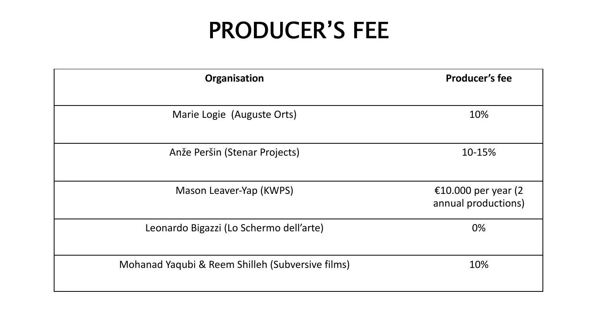#### PRODUCER'S FEE

| Organisation                                     | <b>Producer's fee</b>                      |  |  |
|--------------------------------------------------|--------------------------------------------|--|--|
| Marie Logie (Auguste Orts)                       | 10%                                        |  |  |
| Anže Peršin (Stenar Projects)                    | 10-15%                                     |  |  |
| Mason Leaver-Yap (KWPS)                          | €10.000 per year (2<br>annual productions) |  |  |
| Leonardo Bigazzi (Lo Schermo dell'arte)          | 0%                                         |  |  |
| Mohanad Yaqubi & Reem Shilleh (Subversive films) | 10%                                        |  |  |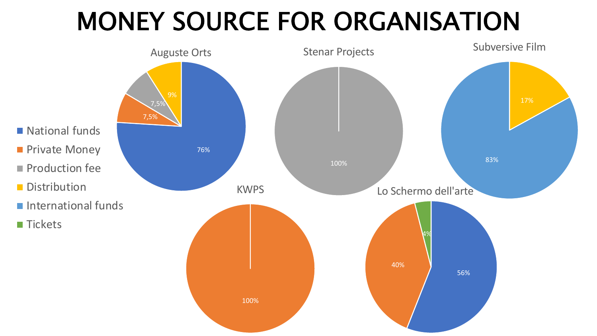# MONEY SOURCE FOR ORGANISATION

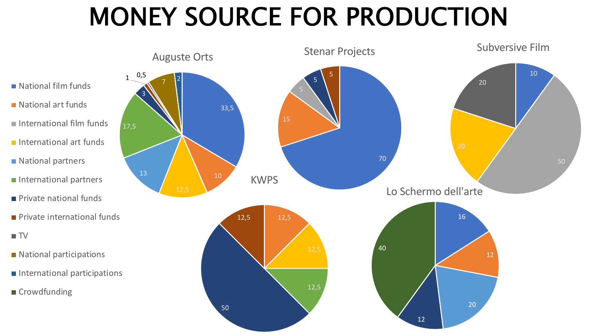# MONEY SOURCE FOR PRODUCTION

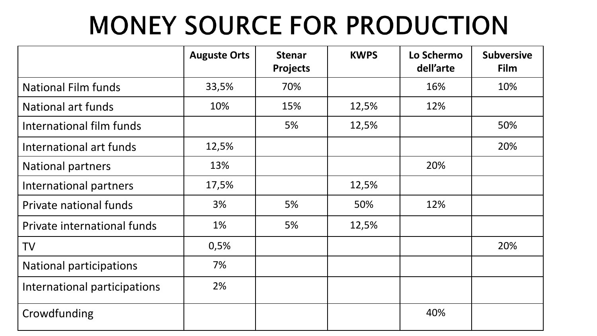# **MONEY SOURCE FOR PRODUCTION**

|                                | <b>Auguste Orts</b> | <b>Stenar</b><br><b>Projects</b> | <b>KWPS</b> | Lo Schermo<br>dell'arte | <b>Subversive</b><br>Film |
|--------------------------------|---------------------|----------------------------------|-------------|-------------------------|---------------------------|
| <b>National Film funds</b>     | 33,5%               | 70%                              |             | 16%                     | 10%                       |
| National art funds             | 10%                 | 15%                              | 12,5%       | 12%                     |                           |
| International film funds       |                     | 5%                               | 12,5%       |                         | 50%                       |
| International art funds        | 12,5%               |                                  |             |                         | 20%                       |
| <b>National partners</b>       | 13%                 |                                  |             | 20%                     |                           |
| International partners         | 17,5%               |                                  | 12,5%       |                         |                           |
| Private national funds         | 3%                  | 5%                               | 50%         | 12%                     |                           |
| Private international funds    | 1%                  | 5%                               | 12,5%       |                         |                           |
| <b>TV</b>                      | 0,5%                |                                  |             |                         | 20%                       |
| <b>National participations</b> | 7%                  |                                  |             |                         |                           |
| International participations   | 2%                  |                                  |             |                         |                           |
| Crowdfunding                   |                     |                                  |             | 40%                     |                           |